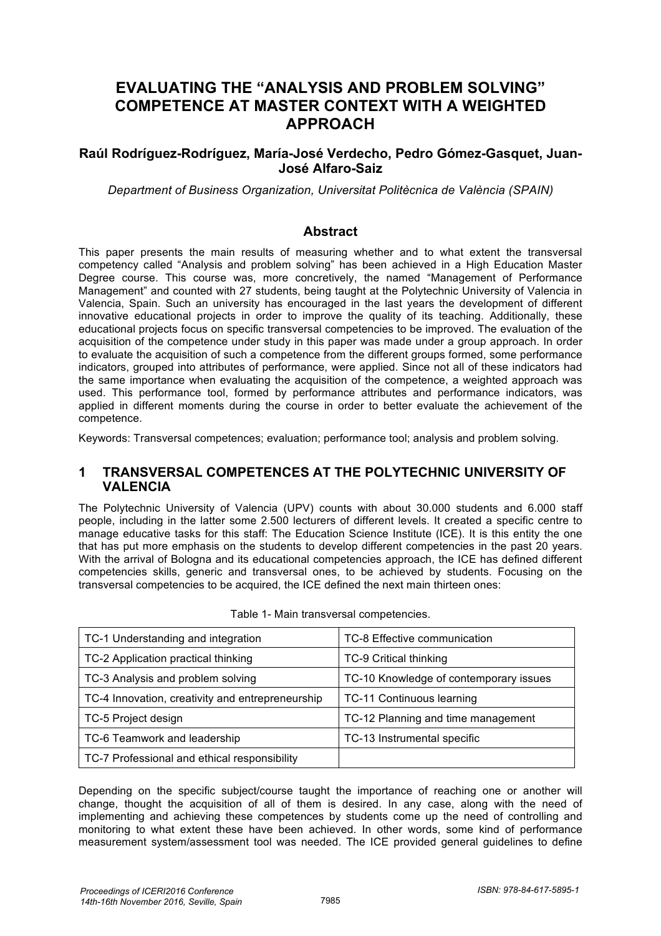# **EVALUATING THE "ANALYSIS AND PROBLEM SOLVING" COMPETENCE AT MASTER CONTEXT WITH A WEIGHTED APPROACH**

#### **Raúl Rodríguez-Rodríguez, María-José Verdecho, Pedro Gómez-Gasquet, Juan-José Alfaro-Saiz**

*Department of Business Organization, Universitat Politècnica de València (SPAIN)* 

#### **Abstract**

This paper presents the main results of measuring whether and to what extent the transversal competency called "Analysis and problem solving" has been achieved in a High Education Master Degree course. This course was, more concretively, the named "Management of Performance Management" and counted with 27 students, being taught at the Polytechnic University of Valencia in Valencia, Spain. Such an university has encouraged in the last years the development of different innovative educational projects in order to improve the quality of its teaching. Additionally, these educational projects focus on specific transversal competencies to be improved. The evaluation of the acquisition of the competence under study in this paper was made under a group approach. In order to evaluate the acquisition of such a competence from the different groups formed, some performance indicators, grouped into attributes of performance, were applied. Since not all of these indicators had the same importance when evaluating the acquisition of the competence, a weighted approach was used. This performance tool, formed by performance attributes and performance indicators, was applied in different moments during the course in order to better evaluate the achievement of the competence.

Keywords: Transversal competences; evaluation; performance tool; analysis and problem solving.

#### **1 TRANSVERSAL COMPETENCES AT THE POLYTECHNIC UNIVERSITY OF VALENCIA**

The Polytechnic University of Valencia (UPV) counts with about 30.000 students and 6.000 staff people, including in the latter some 2.500 lecturers of different levels. It created a specific centre to manage educative tasks for this staff: The Education Science Institute (ICE). It is this entity the one that has put more emphasis on the students to develop different competencies in the past 20 years. With the arrival of Bologna and its educational competencies approach, the ICE has defined different competencies skills, generic and transversal ones, to be achieved by students. Focusing on the transversal competencies to be acquired, the ICE defined the next main thirteen ones:

| TC-1 Understanding and integration               | TC-8 Effective communication           |
|--------------------------------------------------|----------------------------------------|
| TC-2 Application practical thinking              | <b>TC-9 Critical thinking</b>          |
| TC-3 Analysis and problem solving                | TC-10 Knowledge of contemporary issues |
| TC-4 Innovation, creativity and entrepreneurship | TC-11 Continuous learning              |
| TC-5 Project design                              | TC-12 Planning and time management     |
| TC-6 Teamwork and leadership                     | TC-13 Instrumental specific            |
| TC-7 Professional and ethical responsibility     |                                        |

|  |  |  |  | Table 1- Main transversal competencies. |
|--|--|--|--|-----------------------------------------|
|--|--|--|--|-----------------------------------------|

Depending on the specific subject/course taught the importance of reaching one or another will change, thought the acquisition of all of them is desired. In any case, along with the need of implementing and achieving these competences by students come up the need of controlling and monitoring to what extent these have been achieved. In other words, some kind of performance measurement system/assessment tool was needed. The ICE provided general guidelines to define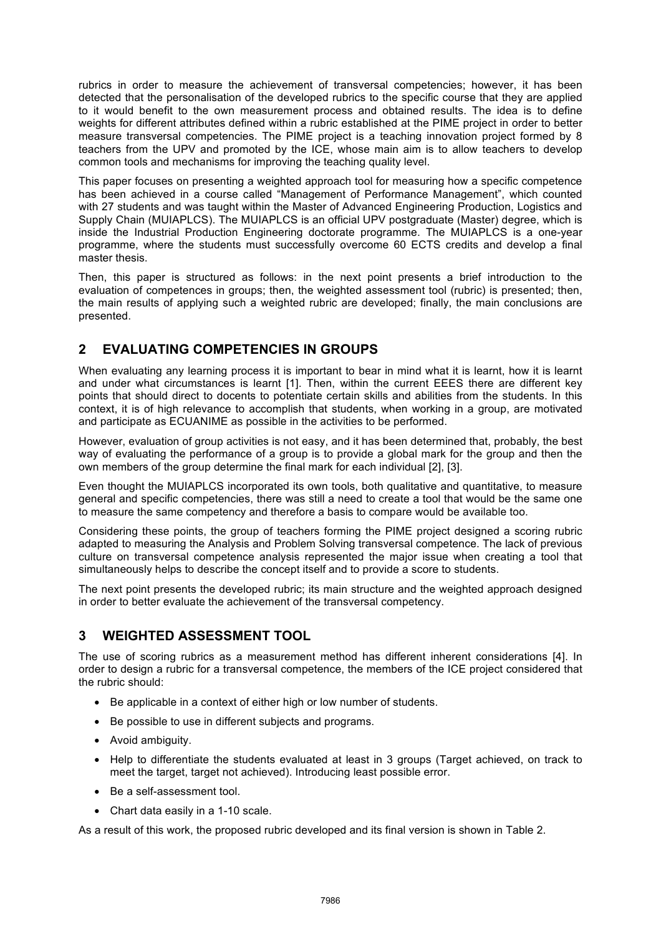rubrics in order to measure the achievement of transversal competencies; however, it has been detected that the personalisation of the developed rubrics to the specific course that they are applied to it would benefit to the own measurement process and obtained results. The idea is to define weights for different attributes defined within a rubric established at the PIME project in order to better measure transversal competencies. The PIME project is a teaching innovation project formed by 8 teachers from the UPV and promoted by the ICE, whose main aim is to allow teachers to develop common tools and mechanisms for improving the teaching quality level.

This paper focuses on presenting a weighted approach tool for measuring how a specific competence has been achieved in a course called "Management of Performance Management", which counted with 27 students and was taught within the Master of Advanced Engineering Production, Logistics and Supply Chain (MUIAPLCS). The MUIAPLCS is an official UPV postgraduate (Master) degree, which is inside the Industrial Production Engineering doctorate programme. The MUIAPLCS is a one-year programme, where the students must successfully overcome 60 ECTS credits and develop a final master thesis.

Then, this paper is structured as follows: in the next point presents a brief introduction to the evaluation of competences in groups; then, the weighted assessment tool (rubric) is presented; then, the main results of applying such a weighted rubric are developed; finally, the main conclusions are presented.

# **2 EVALUATING COMPETENCIES IN GROUPS**

When evaluating any learning process it is important to bear in mind what it is learnt, how it is learnt and under what circumstances is learnt [1]. Then, within the current EEES there are different key points that should direct to docents to potentiate certain skills and abilities from the students. In this context, it is of high relevance to accomplish that students, when working in a group, are motivated and participate as ECUANIME as possible in the activities to be performed.

However, evaluation of group activities is not easy, and it has been determined that, probably, the best way of evaluating the performance of a group is to provide a global mark for the group and then the own members of the group determine the final mark for each individual [2], [3].

Even thought the MUIAPLCS incorporated its own tools, both qualitative and quantitative, to measure general and specific competencies, there was still a need to create a tool that would be the same one to measure the same competency and therefore a basis to compare would be available too.

Considering these points, the group of teachers forming the PIME project designed a scoring rubric adapted to measuring the Analysis and Problem Solving transversal competence. The lack of previous culture on transversal competence analysis represented the major issue when creating a tool that simultaneously helps to describe the concept itself and to provide a score to students.

The next point presents the developed rubric; its main structure and the weighted approach designed in order to better evaluate the achievement of the transversal competency.

## **3 WEIGHTED ASSESSMENT TOOL**

The use of scoring rubrics as a measurement method has different inherent considerations [4]. In order to design a rubric for a transversal competence, the members of the ICE project considered that the rubric should:

- Be applicable in a context of either high or low number of students.
- Be possible to use in different subjects and programs.
- Avoid ambiguity.
- Help to differentiate the students evaluated at least in 3 groups (Target achieved, on track to meet the target, target not achieved). Introducing least possible error.
- Be a self-assessment tool.
- Chart data easily in a 1-10 scale.

As a result of this work, the proposed rubric developed and its final version is shown in Table 2.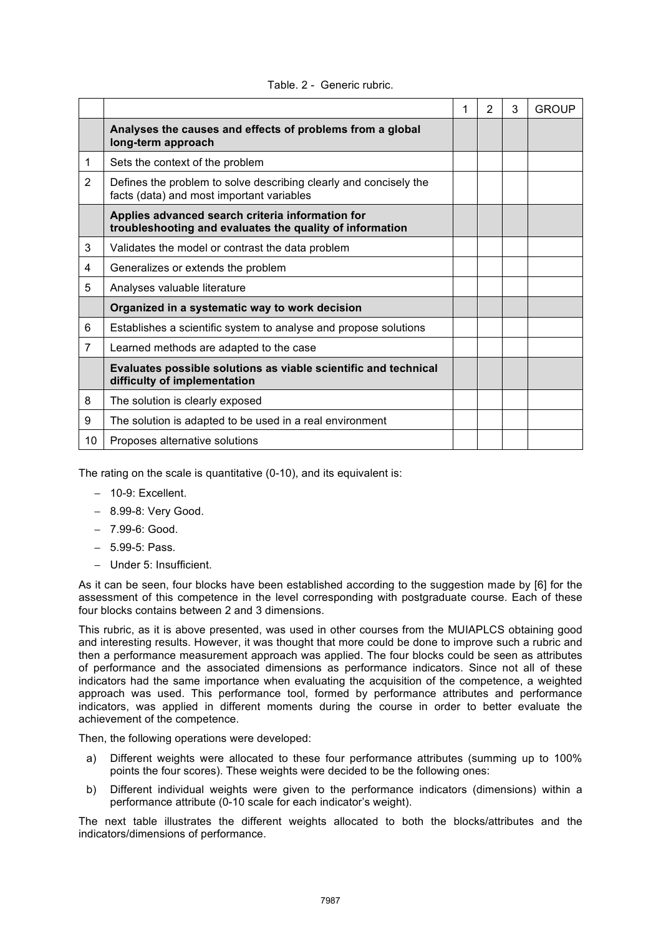|                |                                                                                                                | 1 | 2 | 3 | <b>GROUP</b> |
|----------------|----------------------------------------------------------------------------------------------------------------|---|---|---|--------------|
|                | Analyses the causes and effects of problems from a global<br>long-term approach                                |   |   |   |              |
| 1              | Sets the context of the problem                                                                                |   |   |   |              |
| $\overline{2}$ | Defines the problem to solve describing clearly and concisely the<br>facts (data) and most important variables |   |   |   |              |
|                | Applies advanced search criteria information for<br>troubleshooting and evaluates the quality of information   |   |   |   |              |
| 3              | Validates the model or contrast the data problem                                                               |   |   |   |              |
| 4              | Generalizes or extends the problem                                                                             |   |   |   |              |
| 5              | Analyses valuable literature                                                                                   |   |   |   |              |
|                | Organized in a systematic way to work decision                                                                 |   |   |   |              |
| 6              | Establishes a scientific system to analyse and propose solutions                                               |   |   |   |              |
| $\overline{7}$ | Learned methods are adapted to the case                                                                        |   |   |   |              |
|                | Evaluates possible solutions as viable scientific and technical<br>difficulty of implementation                |   |   |   |              |
| 8              | The solution is clearly exposed                                                                                |   |   |   |              |
| 9              | The solution is adapted to be used in a real environment                                                       |   |   |   |              |
| 10             | Proposes alternative solutions                                                                                 |   |   |   |              |

#### Table. 2 - Generic rubric.

The rating on the scale is quantitative (0-10), and its equivalent is:

- − 10-9: Excellent.
- − 8.99-8: Very Good.
- − 7.99-6: Good.
- − 5.99-5: Pass.
- − Under 5: Insufficient.

As it can be seen, four blocks have been established according to the suggestion made by [6] for the assessment of this competence in the level corresponding with postgraduate course. Each of these four blocks contains between 2 and 3 dimensions.

This rubric, as it is above presented, was used in other courses from the MUIAPLCS obtaining good and interesting results. However, it was thought that more could be done to improve such a rubric and then a performance measurement approach was applied. The four blocks could be seen as attributes of performance and the associated dimensions as performance indicators. Since not all of these indicators had the same importance when evaluating the acquisition of the competence, a weighted approach was used. This performance tool, formed by performance attributes and performance indicators, was applied in different moments during the course in order to better evaluate the achievement of the competence.

Then, the following operations were developed:

- a) Different weights were allocated to these four performance attributes (summing up to 100% points the four scores). These weights were decided to be the following ones:
- b) Different individual weights were given to the performance indicators (dimensions) within a performance attribute (0-10 scale for each indicator's weight).

The next table illustrates the different weights allocated to both the blocks/attributes and the indicators/dimensions of performance.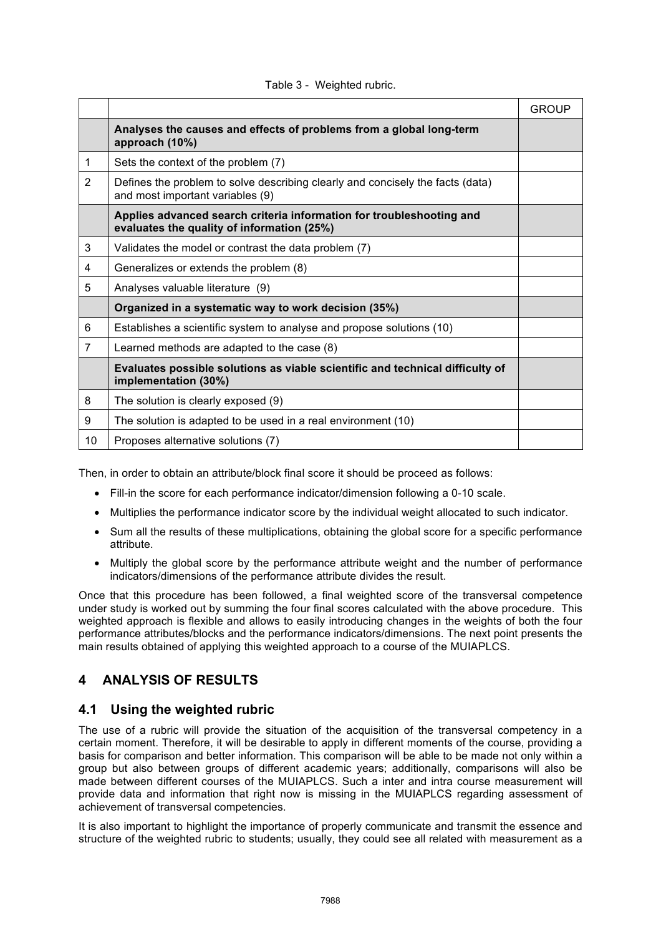|                |                                                                                                                    | <b>GROUP</b> |
|----------------|--------------------------------------------------------------------------------------------------------------------|--------------|
|                | Analyses the causes and effects of problems from a global long-term<br>approach (10%)                              |              |
| 1              | Sets the context of the problem (7)                                                                                |              |
| $\overline{2}$ | Defines the problem to solve describing clearly and concisely the facts (data)<br>and most important variables (9) |              |
|                | Applies advanced search criteria information for troubleshooting and<br>evaluates the quality of information (25%) |              |
| 3              | Validates the model or contrast the data problem (7)                                                               |              |
| 4              | Generalizes or extends the problem (8)                                                                             |              |
| 5              | Analyses valuable literature (9)                                                                                   |              |
|                | Organized in a systematic way to work decision (35%)                                                               |              |
| 6              | Establishes a scientific system to analyse and propose solutions (10)                                              |              |
| 7              | Learned methods are adapted to the case (8)                                                                        |              |
|                | Evaluates possible solutions as viable scientific and technical difficulty of<br>implementation (30%)              |              |
| 8              | The solution is clearly exposed (9)                                                                                |              |
| 9              | The solution is adapted to be used in a real environment (10)                                                      |              |
| 10             | Proposes alternative solutions (7)                                                                                 |              |

#### Table 3 - Weighted rubric.

Then, in order to obtain an attribute/block final score it should be proceed as follows:

- Fill-in the score for each performance indicator/dimension following a 0-10 scale.
- Multiplies the performance indicator score by the individual weight allocated to such indicator.
- Sum all the results of these multiplications, obtaining the global score for a specific performance attribute.
- Multiply the global score by the performance attribute weight and the number of performance indicators/dimensions of the performance attribute divides the result.

Once that this procedure has been followed, a final weighted score of the transversal competence under study is worked out by summing the four final scores calculated with the above procedure. This weighted approach is flexible and allows to easily introducing changes in the weights of both the four performance attributes/blocks and the performance indicators/dimensions. The next point presents the main results obtained of applying this weighted approach to a course of the MUIAPLCS.

## **4 ANALYSIS OF RESULTS**

### **4.1 Using the weighted rubric**

The use of a rubric will provide the situation of the acquisition of the transversal competency in a certain moment. Therefore, it will be desirable to apply in different moments of the course, providing a basis for comparison and better information. This comparison will be able to be made not only within a group but also between groups of different academic years; additionally, comparisons will also be made between different courses of the MUIAPLCS. Such a inter and intra course measurement will provide data and information that right now is missing in the MUIAPLCS regarding assessment of achievement of transversal competencies.

It is also important to highlight the importance of properly communicate and transmit the essence and structure of the weighted rubric to students; usually, they could see all related with measurement as a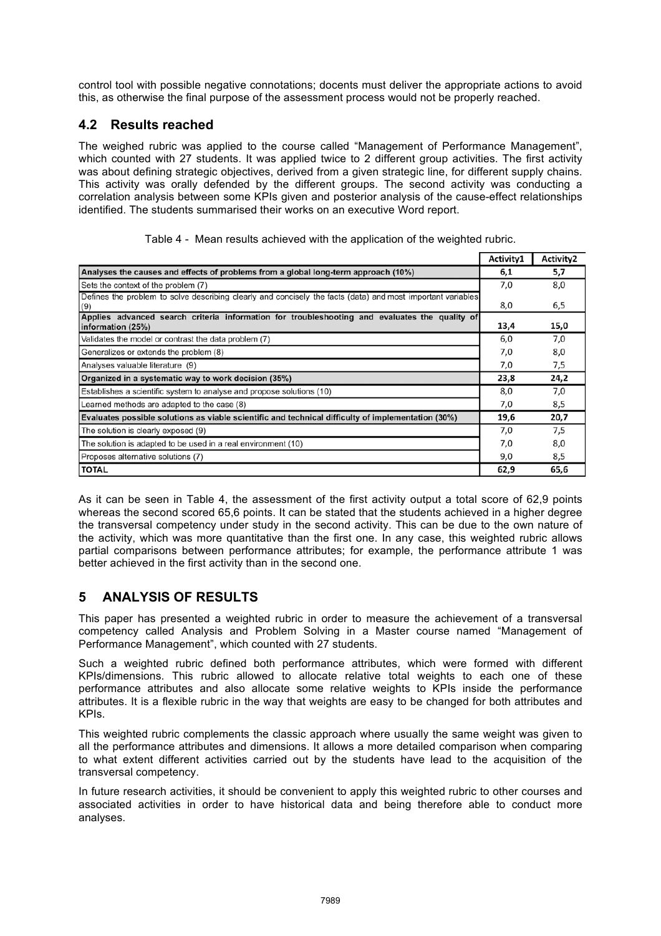control tool with possible negative connotations; docents must deliver the appropriate actions to avoid this, as otherwise the final purpose of the assessment process would not be properly reached.

## **4.2 Results reached**

The weighed rubric was applied to the course called "Management of Performance Management", which counted with 27 students. It was applied twice to 2 different group activities. The first activity was about defining strategic objectives, derived from a given strategic line, for different supply chains. This activity was orally defended by the different groups. The second activity was conducting a correlation analysis between some KPIs given and posterior analysis of the cause-effect relationships identified. The students summarised their works on an executive Word report.

|                                                                                                                    | Activity1 | Activity2 |
|--------------------------------------------------------------------------------------------------------------------|-----------|-----------|
| Analyses the causes and effects of problems from a global long-term approach (10%)                                 | 6,1       | 5,7       |
| Sets the context of the problem (7)                                                                                | 7,0       | 8,0       |
| Defines the problem to solve describing clearly and concisely the facts (data) and most important variables<br>(9) | 8,0       | 6,5       |
| Applies advanced search criteria information for troubleshooting and evaluates the quality of<br>information (25%) | 13,4      | 15,0      |
| Validates the model or contrast the data problem (7)                                                               | 6,0       | 7,0       |
| Generalizes or extends the problem (8)                                                                             | 7,0       | 8,0       |
| Analyses valuable literature (9)                                                                                   | 7,0       | 7,5       |
| Organized in a systematic way to work decision (35%)                                                               | 23,8      | 24,2      |
| Establishes a scientific system to analyse and propose solutions (10)                                              | 8,0       | 7,0       |
| Learned methods are adapted to the case (8)                                                                        | 7,0       | 8,5       |
| Evaluates possible solutions as viable scientific and technical difficulty of implementation (30%)                 | 19,6      | 20,7      |
| The solution is clearly exposed (9)                                                                                | 7,0       | 7.5       |
| The solution is adapted to be used in a real environment (10)                                                      | 7,0       | 8,0       |
| Proposes alternative solutions (7)                                                                                 | 9,0       | 8,5       |
| <b>TOTAL</b>                                                                                                       | 62,9      | 65,6      |

|  |  |  |  |  | Table 4 - Mean results achieved with the application of the weighted rubric. |  |  |  |
|--|--|--|--|--|------------------------------------------------------------------------------|--|--|--|
|--|--|--|--|--|------------------------------------------------------------------------------|--|--|--|

As it can be seen in Table 4, the assessment of the first activity output a total score of 62,9 points whereas the second scored 65,6 points. It can be stated that the students achieved in a higher degree the transversal competency under study in the second activity. This can be due to the own nature of the activity, which was more quantitative than the first one. In any case, this weighted rubric allows partial comparisons between performance attributes; for example, the performance attribute 1 was better achieved in the first activity than in the second one.

## **5 ANALYSIS OF RESULTS**

This paper has presented a weighted rubric in order to measure the achievement of a transversal competency called Analysis and Problem Solving in a Master course named "Management of Performance Management", which counted with 27 students.

Such a weighted rubric defined both performance attributes, which were formed with different KPIs/dimensions. This rubric allowed to allocate relative total weights to each one of these performance attributes and also allocate some relative weights to KPIs inside the performance attributes. It is a flexible rubric in the way that weights are easy to be changed for both attributes and KPIs.

This weighted rubric complements the classic approach where usually the same weight was given to all the performance attributes and dimensions. It allows a more detailed comparison when comparing to what extent different activities carried out by the students have lead to the acquisition of the transversal competency.

In future research activities, it should be convenient to apply this weighted rubric to other courses and associated activities in order to have historical data and being therefore able to conduct more analyses.